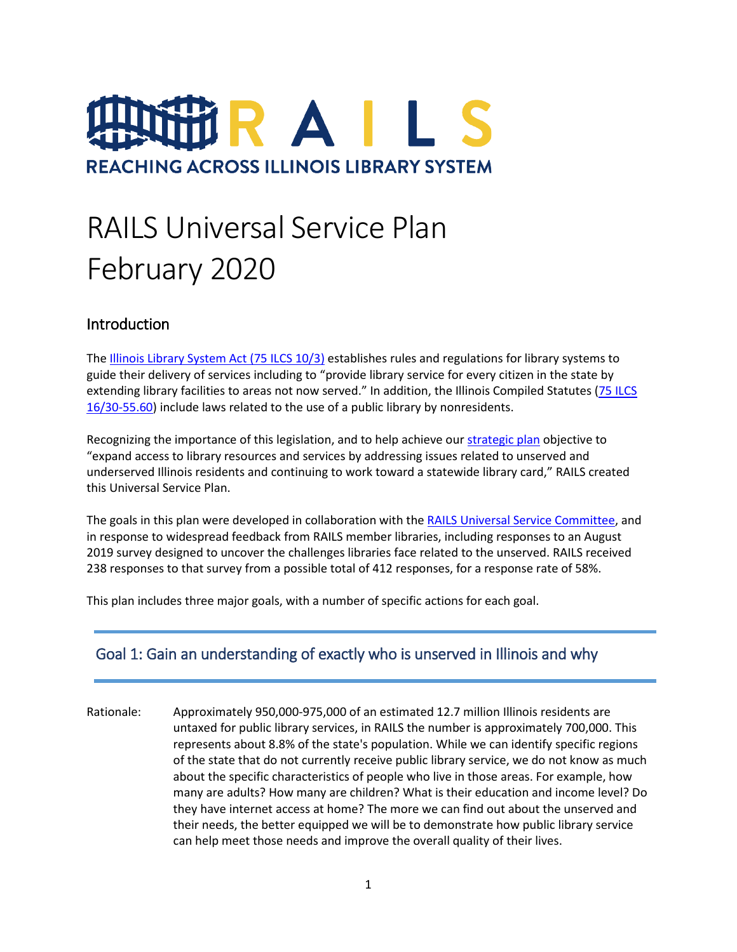# IR A I L S **REACHING ACROSS ILLINOIS LIBRARY SYSTEM**

# RAILS Universal Service Plan February 2020

#### Introduction

The [Illinois Library System Act](http://www.ilga.gov/legislation/ilcs/ilcs3.asp?ActID=991&ChapterID=16) (75 ILCS 10/3) establishes rules and regulations for library systems to guide their delivery of services including to "provide library service for every citizen in the state by extending library facilities to areas not now served." In addition, the Illinois Compiled Statutes [\(75 ILCS](http://www.ilga.gov/legislation/ilcs/fulltext.asp?DocName=007500160K30-55.60)  [16/30-55.60\)](http://www.ilga.gov/legislation/ilcs/fulltext.asp?DocName=007500160K30-55.60) include laws related to the use of a public library by nonresidents.

Recognizing the importance of this legislation, and to help achieve our [strategic plan](https://www.railslibraries.info/about/strategic-plan) objective to "expand access to library resources and services by addressing issues related to unserved and underserved Illinois residents and continuing to work toward a statewide library card," RAILS created this Universal Service Plan.

The goals in this plan were developed in collaboration with the [RAILS Universal Service Committee,](https://www.railslibraries.info/board/universal-service-committee) and in response to widespread feedback from RAILS member libraries, including responses to an August 2019 survey designed to uncover the challenges libraries face related to the unserved. RAILS received 238 responses to that survey from a possible total of 412 responses, for a response rate of 58%.

This plan includes three major goals, with a number of specific actions for each goal.

#### Goal 1: Gain an understanding of exactly who is unserved in Illinois and why

Rationale: Approximately 950,000-975,000 of an estimated 12.7 million Illinois residents are untaxed for public library services, in RAILS the number is approximately 700,000. This represents about 8.8% of the state's population. While we can identify specific regions of the state that do not currently receive public library service, we do not know as much about the specific characteristics of people who live in those areas. For example, how many are adults? How many are children? What is their education and income level? Do they have internet access at home? The more we can find out about the unserved and their needs, the better equipped we will be to demonstrate how public library service can help meet those needs and improve the overall quality of their lives.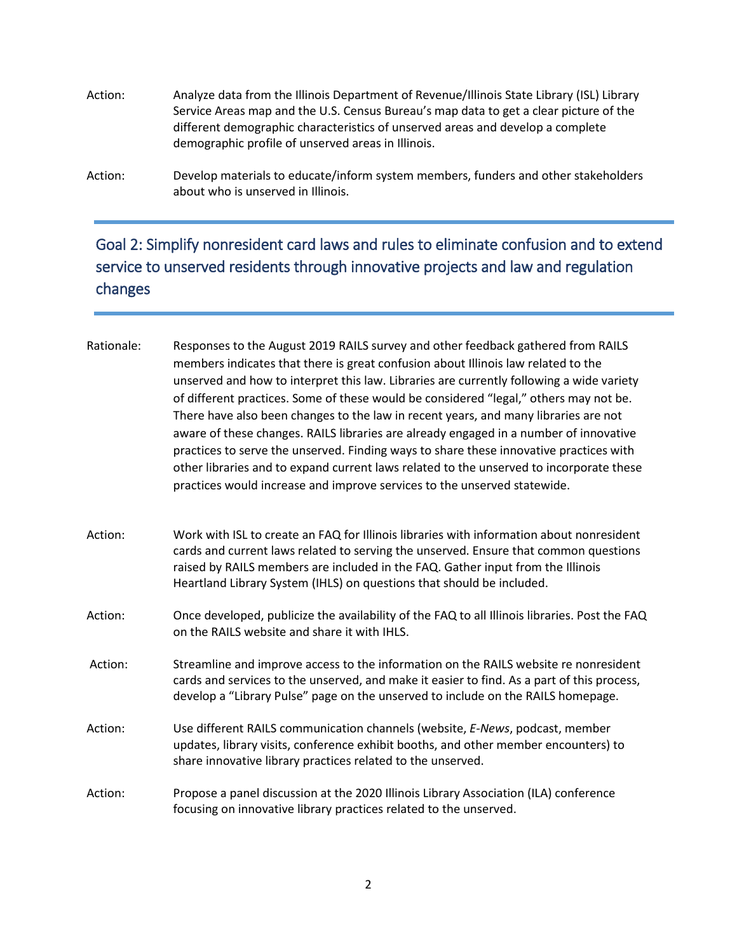Action: Analyze data from the Illinois Department of Revenue/Illinois State Library (ISL) Library Service Areas map and the U.S. Census Bureau's map data to get a clear picture of the different demographic characteristics of unserved areas and develop a complete demographic profile of unserved areas in Illinois.

Action: Develop materials to educate/inform system members, funders and other stakeholders about who is unserved in Illinois.

## Goal 2: Simplify nonresident card laws and rules to eliminate confusion and to extend service to unserved residents through innovative projects and law and regulation changes

Rationale: Responses to the August 2019 RAILS survey and other feedback gathered from RAILS members indicates that there is great confusion about Illinois law related to the unserved and how to interpret this law. Libraries are currently following a wide variety of different practices. Some of these would be considered "legal," others may not be. There have also been changes to the law in recent years, and many libraries are not aware of these changes. RAILS libraries are already engaged in a number of innovative practices to serve the unserved. Finding ways to share these innovative practices with other libraries and to expand current laws related to the unserved to incorporate these practices would increase and improve services to the unserved statewide.

- Action: Work with ISL to create an FAQ for Illinois libraries with information about nonresident cards and current laws related to serving the unserved. Ensure that common questions raised by RAILS members are included in the FAQ. Gather input from the Illinois Heartland Library System (IHLS) on questions that should be included.
- Action: Once developed, publicize the availability of the FAQ to all Illinois libraries. Post the FAQ on the RAILS website and share it with IHLS.
- Action: Streamline and improve access to the information on the RAILS website re nonresident cards and services to the unserved, and make it easier to find. As a part of this process, develop a "Library Pulse" page on the unserved to include on the RAILS homepage.
- Action: Use different RAILS communication channels (website, *E-News*, podcast, member updates, library visits, conference exhibit booths, and other member encounters) to share innovative library practices related to the unserved.
- Action: Propose a panel discussion at the 2020 Illinois Library Association (ILA) conference focusing on innovative library practices related to the unserved.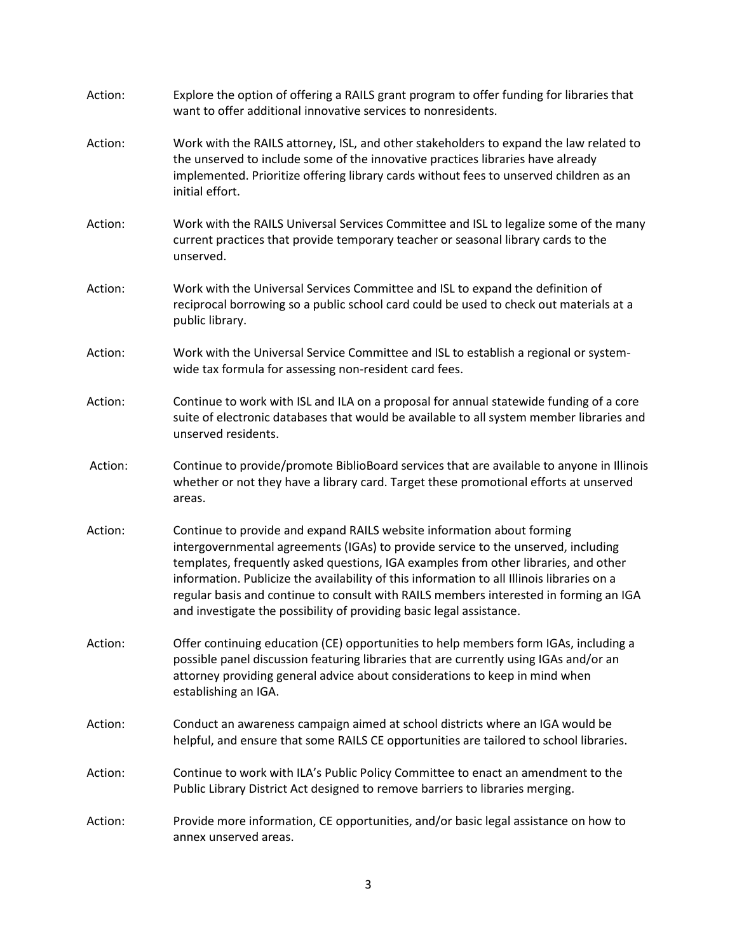| Action: | Explore the option of offering a RAILS grant program to offer funding for libraries that<br>want to offer additional innovative services to nonresidents.                                                                                                                                                                                                                                                                                                                                                         |
|---------|-------------------------------------------------------------------------------------------------------------------------------------------------------------------------------------------------------------------------------------------------------------------------------------------------------------------------------------------------------------------------------------------------------------------------------------------------------------------------------------------------------------------|
| Action: | Work with the RAILS attorney, ISL, and other stakeholders to expand the law related to<br>the unserved to include some of the innovative practices libraries have already<br>implemented. Prioritize offering library cards without fees to unserved children as an<br>initial effort.                                                                                                                                                                                                                            |
| Action: | Work with the RAILS Universal Services Committee and ISL to legalize some of the many<br>current practices that provide temporary teacher or seasonal library cards to the<br>unserved.                                                                                                                                                                                                                                                                                                                           |
| Action: | Work with the Universal Services Committee and ISL to expand the definition of<br>reciprocal borrowing so a public school card could be used to check out materials at a<br>public library.                                                                                                                                                                                                                                                                                                                       |
| Action: | Work with the Universal Service Committee and ISL to establish a regional or system-<br>wide tax formula for assessing non-resident card fees.                                                                                                                                                                                                                                                                                                                                                                    |
| Action: | Continue to work with ISL and ILA on a proposal for annual statewide funding of a core<br>suite of electronic databases that would be available to all system member libraries and<br>unserved residents.                                                                                                                                                                                                                                                                                                         |
| Action: | Continue to provide/promote BiblioBoard services that are available to anyone in Illinois<br>whether or not they have a library card. Target these promotional efforts at unserved<br>areas.                                                                                                                                                                                                                                                                                                                      |
| Action: | Continue to provide and expand RAILS website information about forming<br>intergovernmental agreements (IGAs) to provide service to the unserved, including<br>templates, frequently asked questions, IGA examples from other libraries, and other<br>information. Publicize the availability of this information to all Illinois libraries on a<br>regular basis and continue to consult with RAILS members interested in forming an IGA<br>and investigate the possibility of providing basic legal assistance. |
| Action: | Offer continuing education (CE) opportunities to help members form IGAs, including a<br>possible panel discussion featuring libraries that are currently using IGAs and/or an<br>attorney providing general advice about considerations to keep in mind when<br>establishing an IGA.                                                                                                                                                                                                                              |
| Action: | Conduct an awareness campaign aimed at school districts where an IGA would be<br>helpful, and ensure that some RAILS CE opportunities are tailored to school libraries.                                                                                                                                                                                                                                                                                                                                           |
| Action: | Continue to work with ILA's Public Policy Committee to enact an amendment to the<br>Public Library District Act designed to remove barriers to libraries merging.                                                                                                                                                                                                                                                                                                                                                 |
| Action: | Provide more information, CE opportunities, and/or basic legal assistance on how to<br>annex unserved areas.                                                                                                                                                                                                                                                                                                                                                                                                      |